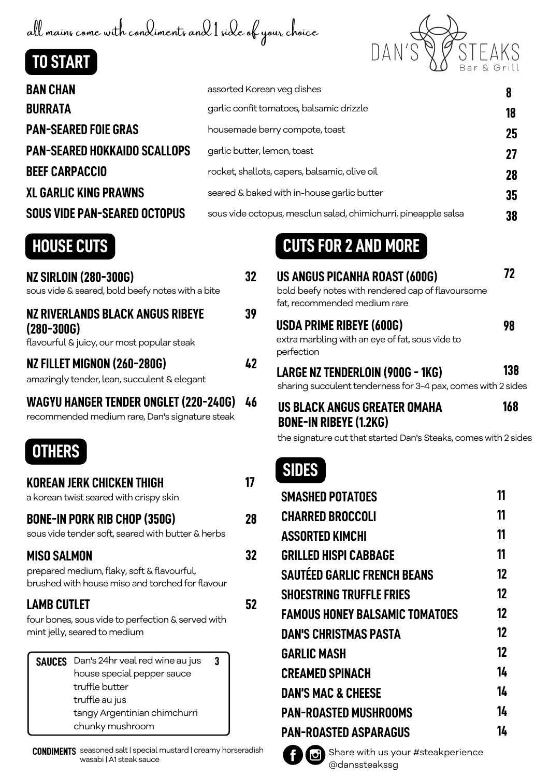all mains come with condiments and 1 side of your choice





| <b>BAN CHAN</b>                     | assorted Korean veg dishes                                     | 8  |
|-------------------------------------|----------------------------------------------------------------|----|
| <b>BURRATA</b>                      | garlic confit tomatoes, balsamic drizzle                       | 18 |
| <b>PAN-SEARED FOIE GRAS</b>         | housemade berry compote, toast                                 | 25 |
| <b>PAN-SEARED HOKKAIDO SCALLOPS</b> | garlic butter, lemon, toast                                    | 27 |
| <b>BEEF CARPACCIO</b>               | rocket, shallots, capers, balsamic, olive oil                  | 28 |
| <b>XL GARLIC KING PRAWNS</b>        | seared & baked with in-house garlic butter                     | 35 |
| <b>SOUS VIDE PAN-SEARED OCTOPUS</b> | sous vide octopus, mesclun salad, chimichurri, pineapple salsa | 38 |
|                                     |                                                                |    |

| <b>NZ SIRLOIN (280-300G)</b><br>sous vide & seared, bold beefy notes with a bite                 | 32 |
|--------------------------------------------------------------------------------------------------|----|
| NZ RIVERLANDS BLACK ANGUS RIBEYE<br>$(280 - 300G)$<br>flavourful & juicy, our most popular steak | 39 |
| NZ FILLET MIGNON (260-280G)<br>amazingly tender, lean, succulent & elegant                       | 42 |
| <b>WAGYU HANGER TENDER ONGLET (220-240G)</b>                                                     | 46 |

recommended medium rare, Dan's signature steak

## **OTHERS**

| KOREAN JERK CHICKEN THIGH<br>a korean twist seared with crispy skin                                          |                                                                                                                                                      |    |    |
|--------------------------------------------------------------------------------------------------------------|------------------------------------------------------------------------------------------------------------------------------------------------------|----|----|
| <b>BONE-IN PORK RIB CHOP (350G)</b><br>sous vide tender soft, seared with butter & herbs                     |                                                                                                                                                      | 28 |    |
| MISO SALMON<br>prepared medium, flaky, soft & flavourful,<br>brushed with house miso and torched for flavour |                                                                                                                                                      |    | 32 |
| <b>LAMB CUTLET</b>                                                                                           | four bones, sous vide to perfection & served with<br>mint jelly, seared to medium                                                                    |    | 52 |
| <b>SAUCES</b>                                                                                                | Dan's 24hr veal red wine au jus<br>house special pepper sauce<br>truffle butter<br>truffle au jus<br>tangy Argentinian chimchurri<br>chunky mushroom | 3  |    |

**CONDIMENTS** seasoned salt| special mustard | creamy horseradish wasabi |A1 steak sauce

# **HOUSE CUTS CUTS FOR 2 AND MORE**

| <b>US ANGUS PICANHA ROAST (600G)</b><br>bold beefy notes with rendered cap of flavoursome<br>fat, recommended medium rare | 72  |
|---------------------------------------------------------------------------------------------------------------------------|-----|
| <b>USDA PRIME RIBEYE (600G)</b><br>extra marbling with an eye of fat, sous vide to<br>perfection                          | 98  |
| <b>LARGE NZ TENDERLOIN (900G - 1KG)</b><br>sharing succulent tenderness for 3-4 pax, comes with 2 sides                   | 138 |
|                                                                                                                           |     |

| US BLACK ANGUS GREATER OMAHA  | 168 |
|-------------------------------|-----|
| <b>BONE-IN RIBEYE (1.2KG)</b> |     |

the signature cut that started Dan's Steaks, comes with 2 sides

## **SIDES**

| <b>SMASHED POTATOES</b>               | 11 |
|---------------------------------------|----|
| <b>CHARRED BROCCOLI</b>               | 11 |
| <b>ASSORTED KIMCHI</b>                | 11 |
| <b>GRILLED HISPI CABBAGE</b>          | 11 |
| <b>SAUTÉED GARLIC FRENCH BEANS</b>    | 12 |
| <b>SHOESTRING TRUFFLE FRIES</b>       | 12 |
| <b>FAMOUS HONEY BALSAMIC TOMATOES</b> | 12 |
| DAN'S CHRISTMAS PASTA                 | 12 |
| <b>GARLIC MASH</b>                    | 12 |
| <b>CREAMED SPINACH</b>                | 14 |
| <b>DAN'S MAC &amp; CHEESE</b>         | 14 |
| <b>PAN-ROASTED MUSHROOMS</b>          | 14 |
| <b>PAN-ROASTED ASPARAGUS</b>          | 14 |
|                                       |    |



Share with us your #steakperience @danssteakssg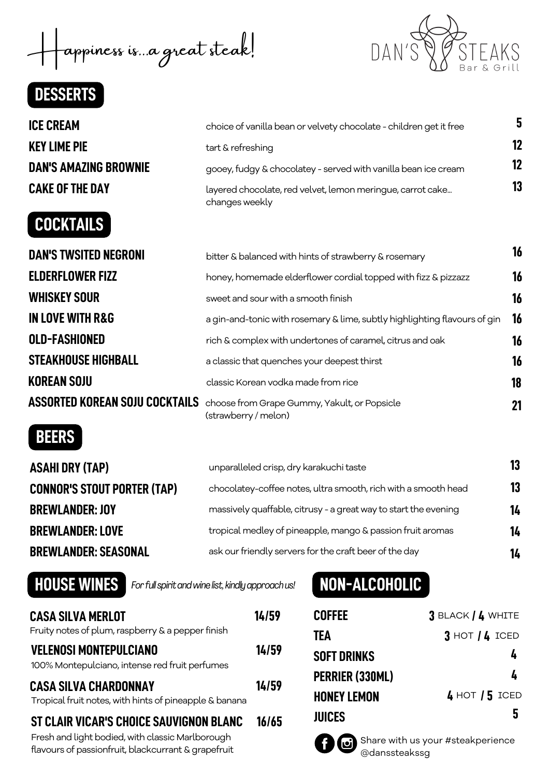appiness is...a great steak!

## **DESSERTS**



# **COCKTAILS**



**16**

| choice of vanilla bean or velvety chocolate - children get it free           | 5  |
|------------------------------------------------------------------------------|----|
| tart & refreshing                                                            |    |
| gooey, fudgy & chocolatey - served with vanilla bean ice cream               |    |
| layered chocolate, red velvet, lemon meringue, carrot cake<br>changes weekly | 13 |

| <b>DAN'S TWSITED NEGRONI</b>          | bitter & balanced with hints of strawberry & rosemary                     | 16 |
|---------------------------------------|---------------------------------------------------------------------------|----|
| <b>ELDERFLOWER FIZZ</b>               | honey, homemade elderflower cordial topped with fizz & pizzazz            | 16 |
| <b>WHISKEY SOUR</b>                   | sweet and sour with a smooth finish                                       | 16 |
| <b>IN LOVE WITH R&amp;G</b>           | a gin-and-tonic with rosemary & lime, subtly highlighting flavours of gin | 16 |
| <b>OLD-FASHIONED</b>                  | rich & complex with undertones of caramel, citrus and oak                 | 16 |
| <b>STEAKHOUSE HIGHBALL</b>            | a classic that quenches your deepest thirst                               | 16 |
| <b>KOREAN SOJU</b>                    | classic Korean vodka made from rice                                       | 18 |
| <b>ASSORTED KOREAN SOJU COCKTAILS</b> | choose from Grape Gummy, Yakult, or Popsicle<br>(strawberry / melon)      | 21 |

## **BEERS**

| unparalleled crisp, dry karakuchi taste                         | 13 |
|-----------------------------------------------------------------|----|
| chocolatey-coffee notes, ultra smooth, rich with a smooth head  | 13 |
| massively quaffable, citrusy - a great way to start the evening | 14 |
| tropical medley of pineapple, mango & passion fruit aromas      | 14 |
| ask our friendly servers for the craft beer of the day          | 14 |
|                                                                 |    |

**HOUSE WINES** *Forfullspiritandwinelist, kindlyapproachus!*

## **NON-ALCOHOLIC**

| <b>CASA SILVA MERLOT</b><br>Fruity notes of plum, raspberry & a pepper finish                                                                      | 14/59 |
|----------------------------------------------------------------------------------------------------------------------------------------------------|-------|
| <b>VELENOSI MONTEPULCIANO</b><br>100% Montepulciano, intense red fruit perfumes                                                                    | 14/59 |
| <b>CASA SILVA CHARDONNAY</b><br>Tropical fruit notes, with hints of pineapple & banana                                                             | 14/59 |
| ST CLAIR VICAR'S CHOICE SAUVIGNON BLANC<br>Fresh and light bodied, with classic Marlborough<br>flavours of passionfruit, blackcurrant & grapefruit | 16/65 |

| Coffee             | $3$ BLACK $/$ 4 WHITE |
|--------------------|-----------------------|
| TEA                | $3$ HOT $/4$ ICED     |
| Soft Drinks        | 4                     |
| PERRIER (330ML)    | 4                     |
| <b>HONEY LEMON</b> | $4$ HOT $/5$ ICED     |
| <b>JUICES</b>      | 5                     |

**J** 

Share with us your #steakperience @danssteakssg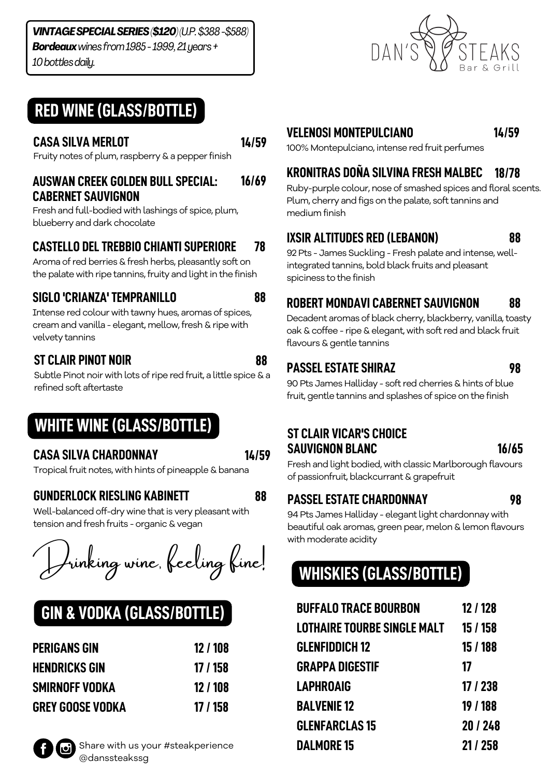#### *VINTAGESPECIALSERIES(\$120)(U.P.\$388-\$588) Bordeauxwinesfrom1985-1999,21years+ 10bottlesdaily.*

## **RED WINE(GLASS/BOTTLE)**

**14/59**

**88**

**88**

Fruity notes of plum, raspberry & a pepper finish

#### **AUSWAN CREEK GOLDEN BULL SPECIAL: CABERNET SAUVIGNON 16/69**

Fresh and full-bodied with lashings of spice, plum, blueberry and dark chocolate

#### **CASTELLO DELTREBBIO CHIANTI SUPERIORE 78**

Aroma of red berries & fresh herbs, pleasantly soft on the palate with ripe tannins, fruity and light in the finish

## **SIGLO 'CRIANZA'TEMPRANILLO**

Intense red colour with tawny hues, aromas of spices, cream and vanilla - elegant, mellow, fresh & ripe with velvety tannins

## **ST CLAIR PINOT NOIR**

Subtle Pinot noir with lots of ripe red fruit, a little spice & a refined soft aftertaste

## **WHITE WINE(GLASS/BOTTLE)**

## **CASA SILVA CHARDONNAY**

Tropical fruit notes, with hints of pineapple & banana

### **GUNDERLOCK RIESLING KABINETT**

Well-balanced off-dry wine that is very pleasant with tension and fresh fruits - organic & vegan

Inking wine, feeling fine!

# **GIN & VODKA (GLASS/BOTTLE)**

| <b>PERIGANS GIN</b>     | 12 / 108 |
|-------------------------|----------|
| <b>HENDRICKS GIN</b>    | 17 / 158 |
| SMIRNOFF VODKA          | 12 / 108 |
| <b>GREY GOOSE VODKA</b> | 17 / 158 |



### **VELENOSI MONTEPULCIANO**

**14/59**

100% Montepulciano, intense red fruit perfumes **CASA SILVA MERLOT**

#### **KRONITRAS DOÑA SILVINA FRESH MALBEC 18/78**

Ruby-purple colour, nose of smashed spices and floral scents. Plum, cherry and figs on the palate, soft tannins and medium finish

## **IXSIR ALTITUDES RED (LEBANON)**

92 Pts - James Suckling - Fresh palate and intense, wellintegrated tannins, bold black fruits and pleasant spiciness to the finish

#### **ROBERT MONDAVI CABERNET SAUVIGNON 88**

Decadent aromas of black cherry, blackberry, vanilla, toasty oak & coffee - ripe & elegant, with soft red and black fruit flavours & gentle tannins

### **PASSELESTATE SHIRAZ**

**98**

**88**

90 Pts James Halliday - soft red cherries & hints of blue fruit, gentle tannins and splashes of spice on the finish

### **ST CLAIR VICAR'S CHOICE SAUVIGNON BLANC**

**16/65**

Fresh and light bodied, with classic Marlborough flavours of passionfruit, blackcurrant & grapefruit

## **88 PASSELESTATE CHARDONNAY**

**98**

94 Pts James Halliday - elegant light chardonnay with beautiful oak aromas, green pear, melon & lemon flavours with moderate acidity

# **WHISKIES (GLASS/BOTTLE)**

| <b>BUFFALO TRACE BOURBON</b> | 12 / 128 |
|------------------------------|----------|
| LOTHAIRE TOURBE SINGLE MALT  | 15 / 158 |
| <b>GLENFIDDICH 12</b>        | 15 / 188 |
| <b>GRAPPA DIGESTIF</b>       | 17       |
| <b>LAPHROAIG</b>             | 17 / 238 |
| <b>BALVENIE 12</b>           | 19 / 188 |
| <b>GLENFARCLAS 15</b>        | 20/248   |
| <b>DALMORE 15</b>            | 21 / 258 |

**14/59**